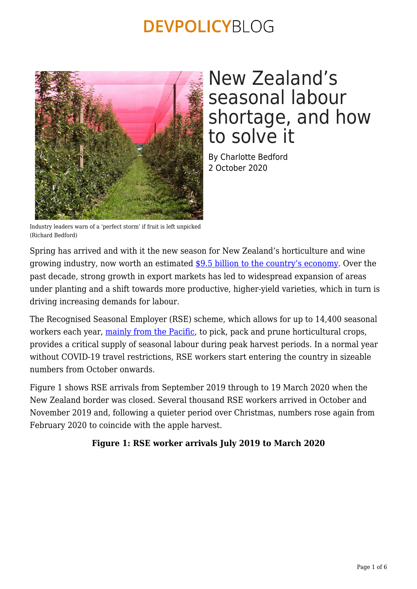

## New Zealand's seasonal labour shortage, and how to solve it

By Charlotte Bedford 2 October 2020

Industry leaders warn of a 'perfect storm' if fruit is left unpicked (Richard Bedford)

Spring has arrived and with it the new season for New Zealand's horticulture and wine growing industry, now worth an estimated [\\$9.5 billion to the country's economy](https://www.freshfacts.co.nz/files/freshfacts-2019.pdf). Over the past decade, strong growth in export markets has led to widespread expansion of areas under planting and a shift towards more productive, higher-yield varieties, which in turn is driving increasing demands for labour.

The Recognised Seasonal Employer (RSE) scheme, which allows for up to 14,400 seasonal workers each year, [mainly from the Pacific,](https://www.immigration.govt.nz/documents/statistics/statistics-rse-arrivals.pdf) to pick, pack and prune horticultural crops, provides a critical supply of seasonal labour during peak harvest periods. In a normal year without COVID-19 travel restrictions, RSE workers start entering the country in sizeable numbers from October onwards.

Figure 1 shows RSE arrivals from September 2019 through to 19 March 2020 when the New Zealand border was closed. Several thousand RSE workers arrived in October and November 2019 and, following a quieter period over Christmas, numbers rose again from February 2020 to coincide with the apple harvest.

### **Figure 1: RSE worker arrivals July 2019 to March 2020**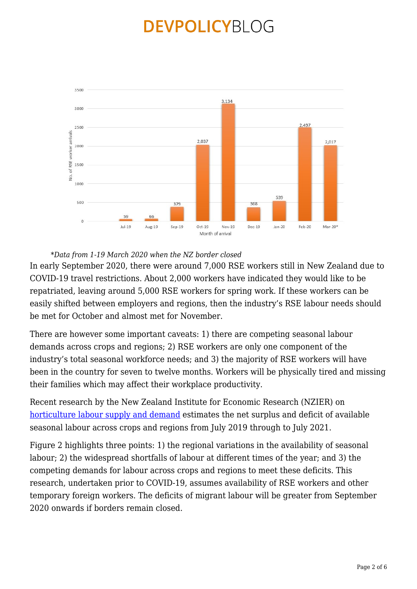

*\*Data from 1-19 March 2020 when the NZ border closed*

In early September 2020, there were around 7,000 RSE workers still in New Zealand due to COVID-19 travel restrictions. About 2,000 workers have indicated they would like to be repatriated, leaving around 5,000 RSE workers for spring work. If these workers can be easily shifted between employers and regions, then the industry's RSE labour needs should be met for October and almost met for November.

There are however some important caveats: 1) there are competing seasonal labour demands across crops and regions; 2) RSE workers are only one component of the industry's total seasonal workforce needs; and 3) the majority of RSE workers will have been in the country for seven to twelve months. Workers will be physically tired and missing their families which may affect their workplace productivity.

Recent research by the New Zealand Institute for Economic Research (NZIER) on [horticulture labour supply and demand](https://www.hortnz.co.nz/assets/2018-RSE-Conference/Presentations/16-40-Dion-Gamperle-NZIER-presentation-RSE-conferenceREV.pdf) estimates the net surplus and deficit of available seasonal labour across crops and regions from July 2019 through to July 2021.

Figure 2 highlights three points: 1) the regional variations in the availability of seasonal labour; 2) the widespread shortfalls of labour at different times of the year; and 3) the competing demands for labour across crops and regions to meet these deficits. This research, undertaken prior to COVID-19, assumes availability of RSE workers and other temporary foreign workers. The deficits of migrant labour will be greater from September 2020 onwards if borders remain closed.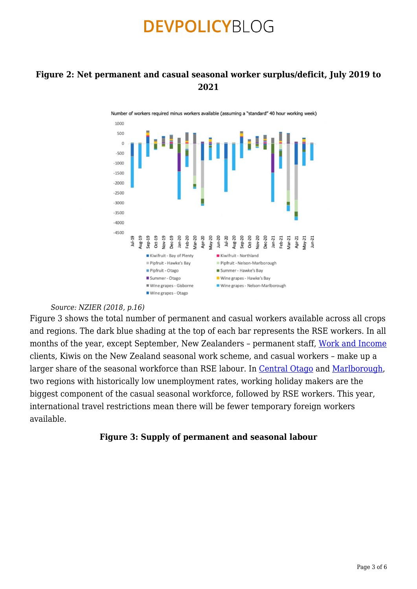### **Figure 2: Net permanent and casual seasonal worker surplus/deficit, July 2019 to 2021**



#### *Source: NZIER (2018, p.16)*

Figure 3 shows the total number of permanent and casual workers available across all crops and regions. The dark blue shading at the top of each bar represents the RSE workers. In all months of the year, except September, New Zealanders - permanent staff, [Work and Income](https://www.workandincome.govt.nz/) clients, Kiwis on the New Zealand seasonal work scheme, and casual workers – make up a larger share of the seasonal workforce than RSE labour. In [Central Otago](https://www.codc.govt.nz/repository/libraries/id:2apsqkk8g1cxbyoqohn0/hierarchy/sitecollectiondocuments/reports/other-reports/Central%20Otago%20Labour%20Survey%20-%20horticulture%20and%20viticulture%20August%202018.pdf) and [Marlborough,](https://www.marlborough.govt.nz/repository/libraries/id:1w1mps0ir17q9sgxanf9/hierarchy/Documents/Your%20Council/Meetings/2016/Regional%20Planning%20and%20Development%202016%20List/RP%26D_Item_1_16_June_2016-Marlborough_Viticulture_Labour_Market_Survey.pdf) two regions with historically low unemployment rates, working holiday makers are the biggest component of the casual seasonal workforce, followed by RSE workers. This year, international travel restrictions mean there will be fewer temporary foreign workers available.

#### **Figure 3: Supply of permanent and seasonal labour**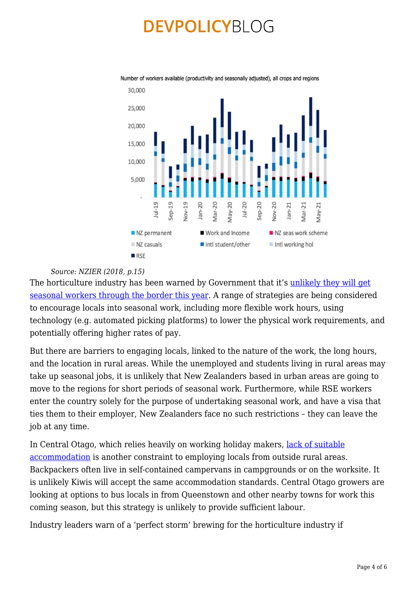

Number of workers available (productivity and seasonally adjusted), all crops and regions

#### *Source: NZIER (2018, p.15)*

The horticulture industry has been warned by Government that it's [unlikely they will get](https://www.stuff.co.nz/national/122766494/david-parker-takes-hardass-approach-to-labour-shortage-during-covid) [seasonal workers through the border this year.](https://www.stuff.co.nz/national/122766494/david-parker-takes-hardass-approach-to-labour-shortage-during-covid) A range of strategies are being considered to encourage locals into seasonal work, including more flexible work hours, using technology (e.g. automated picking platforms) to lower the physical work requirements, and potentially offering higher rates of pay.

But there are barriers to engaging locals, linked to the nature of the work, the long hours, and the location in rural areas. While the unemployed and students living in rural areas may take up seasonal jobs, it is unlikely that New Zealanders based in urban areas are going to move to the regions for short periods of seasonal work. Furthermore, while RSE workers enter the country solely for the purpose of undertaking seasonal work, and have a visa that ties them to their employer, New Zealanders face no such restrictions – they can leave the job at any time.

In Central Otago, which relies heavily on working holiday makers, [lack of suitable](https://www.codc.govt.nz/repository/libraries/id:2apsqkk8g1cxbyoqohn0/hierarchy/sitecollectiondocuments/reports/other-reports/Labour%20Survey%20Infographic%20Poster.pdf) [accommodation](https://www.codc.govt.nz/repository/libraries/id:2apsqkk8g1cxbyoqohn0/hierarchy/sitecollectiondocuments/reports/other-reports/Labour%20Survey%20Infographic%20Poster.pdf) is another constraint to employing locals from outside rural areas. Backpackers often live in self-contained campervans in campgrounds or on the worksite. It is unlikely Kiwis will accept the same accommodation standards. Central Otago growers are looking at options to bus locals in from Queenstown and other nearby towns for work this coming season, but this strategy is unlikely to provide sufficient labour.

Industry leaders warn of a 'perfect storm' brewing for the horticulture industry if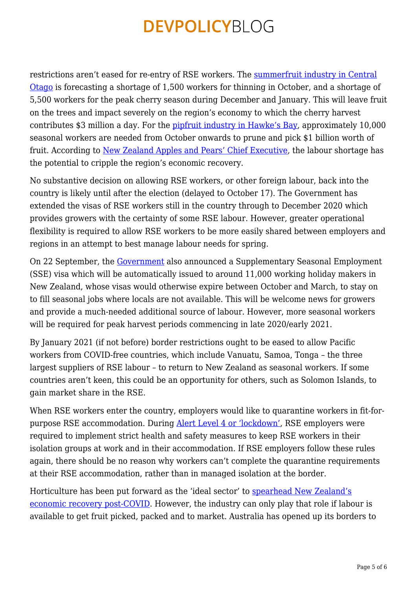restrictions aren't eased for re-entry of RSE workers. The [summerfruit industry in Central](https://www.stuff.co.nz/business/industries/122585820/perfect-storm-brewing-for-central-otago-growers-facing-covid19-labour-crisis) [Otago](https://www.stuff.co.nz/business/industries/122585820/perfect-storm-brewing-for-central-otago-growers-facing-covid19-labour-crisis) is forecasting a shortage of 1,500 workers for thinning in October, and a shortage of 5,500 workers for the peak cherry season during December and January. This will leave fruit on the trees and impact severely on the region's economy to which the cherry harvest contributes \$3 million a day. For the [pipfruit industry in Hawke's Bay,](https://www.stuff.co.nz/business/farming/122741361/this-just-cannot-happen-95-billion-at-risk-as-horticulture-sector-struggles-to-fill-25anhour-jobs) approximately 10,000 seasonal workers are needed from October onwards to prune and pick \$1 billion worth of fruit. According to [New Zealand Apples and Pears' Chief Executive,](https://www.stuff.co.nz/business/farming/122741361/this-just-cannot-happen-95-billion-at-risk-as-horticulture-sector-struggles-to-fill-25anhour-jobs) the labour shortage has the potential to cripple the region's economic recovery.

No substantive decision on allowing RSE workers, or other foreign labour, back into the country is likely until after the election (delayed to October 17). The Government has extended the visas of RSE workers still in the country through to December 2020 which provides growers with the certainty of some RSE labour. However, greater operational flexibility is required to allow RSE workers to be more easily shared between employers and regions in an attempt to best manage labour needs for spring.

On 22 September, the [Government](https://www.beehive.govt.nz/release/seasonal-work-visa-available-more-people) also announced a Supplementary Seasonal Employment (SSE) visa which will be automatically issued to around 11,000 working holiday makers in New Zealand, whose visas would otherwise expire between October and March, to stay on to fill seasonal jobs where locals are not available. This will be welcome news for growers and provide a much-needed additional source of labour. However, more seasonal workers will be required for peak harvest periods commencing in late 2020/early 2021.

By January 2021 (if not before) border restrictions ought to be eased to allow Pacific workers from COVID-free countries, which include Vanuatu, Samoa, Tonga - the three largest suppliers of RSE labour – to return to New Zealand as seasonal workers. If some countries aren't keen, this could be an opportunity for others, such as Solomon Islands, to gain market share in the RSE.

When RSE workers enter the country, employers would like to quarantine workers in fit-forpurpose RSE accommodation. During [Alert Level 4 or 'lockdown'](https://covid19.govt.nz/alert-system/alert-system-overview/#alert-level-4-%E2%80%94-lockdown), RSE employers were required to implement strict health and safety measures to keep RSE workers in their isolation groups at work and in their accommodation. If RSE employers follow these rules again, there should be no reason why workers can't complete the quarantine requirements at their RSE accommodation, rather than in managed isolation at the border.

Horticulture has been put forward as the 'ideal sector' to [spearhead New Zealand's](https://www.nzkgi.org.nz/wp-content/uploads/2020/07/2020-07-15-Hort_Strategy_Infographic.pdf) [economic recovery post-COVID](https://www.nzkgi.org.nz/wp-content/uploads/2020/07/2020-07-15-Hort_Strategy_Infographic.pdf). However, the industry can only play that role if labour is available to get fruit picked, packed and to market. Australia has opened up its borders to